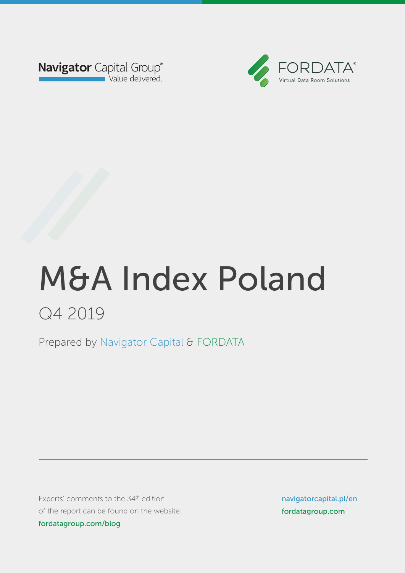



Prepared by Navigator Capital & FORDATA Prepared by Navigator Capital & FORDATA

Experts' comments to the 34<sup>th</sup> edition of the report can be found on the website: fordatagroup.com/blog

navigatorcapital.p/en navigatorcapital.pl/en fordatagroup.com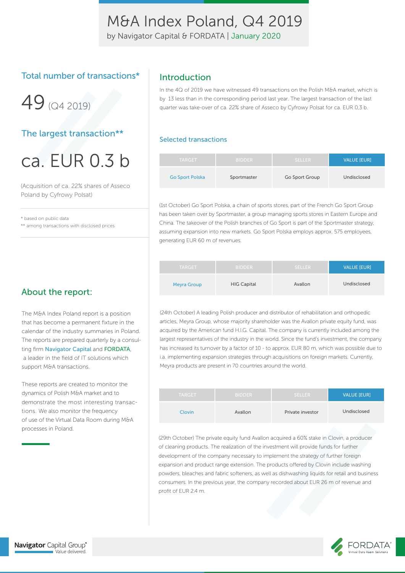by Navigator Capital & FORDATA | January 2020

### Total number of transactions\*

49 (04 2019)

### The largest transaction\*\*

ca. EUR 0.3 b

(Acquisition of ca. 22% shares of Asseco Poland by Cyfrowy Polsat)

\* based on public data

\*\* among transactions with disclosed prices

### Introduction

In the 4Q of 2019 we have witnessed 49 transactions on the Polish M&A market, which is by 13 less than in the corresponding period last year. The largest transaction of the last quarter was take-over of ca. 22% share of Asseco by Cyfrowy Polsat for ca. EUR 0,3 b.

#### Selected transactions

| <b>TARGET</b>          | <b>BIDDER</b> | <b>SELLER</b>  | <b>VALUE [EUR]</b> |
|------------------------|---------------|----------------|--------------------|
| <b>Go Sport Polska</b> | Sportmaster   | Go Sport Group | Undisclosed        |

(1st October) Go Sport Polska, a chain of sports stores, part of the French Go Sport Group has been taken over by Sportmaster, a group managing sports stores in Eastern Europe and China. The takeover of the Polish branches of Go Sport is part of the Sportmaster strategy, assuming expansion into new markets. Go Sport Polska employs approx. 575 employees, generating EUR 60 m of revenues.

| <b>TARGET</b>      | <b>BIDDER</b>      | SELLER  | <b>VALUE [EUR]</b> |
|--------------------|--------------------|---------|--------------------|
| <b>Meyra Group</b> | <b>HIG Capital</b> | Avallon | Undisclosed        |

(24th October) A leading Polish producer and distributor of rehabilitation and orthopedic articles, Meyra Group, whose majority shareholder was the Avallon private equity fund, was acquired by the American fund H.I.G. Capital. The company is currently included among the largest representatives of the industry in the world. Since the fund's investment, the company has increased its turnover by a factor of 10 - to approx. EUR 80 m, which was possible due to i.a. implementing expansion strategies through acquisitions on foreign markets. Currently, Meyra products are present in 70 countries around the world.

| <b>TARGET</b> | <b>BIDDER</b> | <b>SELLER</b>    | <b>VALUE [EUR]</b> |
|---------------|---------------|------------------|--------------------|
| Clovin        | Avallon       | Private investor | Undisclosed        |

(29th October) The private equity fund Avallon acquired a 60% stake in Clovin, a producer of cleaning products. The realization of the investment will provide funds for further development of the company necessary to implement the strategy of further foreign expansion and product range extension. The products offered by Clovin include washing powders, bleaches and fabric softeners, as well as dishwashing liquids for retail and business consumers. In the previous year, the company recorded about EUR 26 m of revenue and profit of EUR 2.4 m.

### About the report:

The M&A Index Poland report is a position that has become a permanent fixture in the calendar of the industry summaries in Poland. The reports are prepared quarterly by a consulting firm Navigator Capital and FORDATA, a leader in the field of IT solutions which support M&A transactions.

These reports are created to monitor the dynamics of Polish M&A market and to demonstrate the most interesting transactions. We also monitor the frequency of use of the Virtual Data Room during M&A processes in Poland.

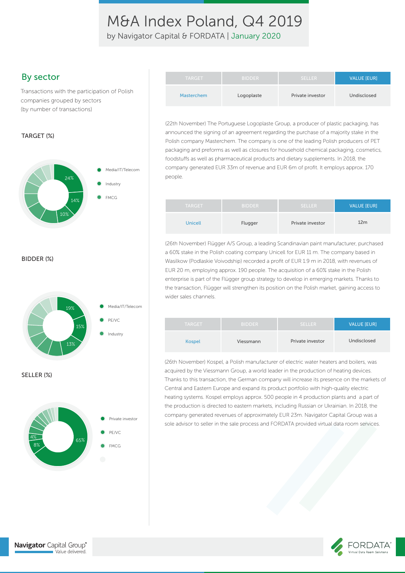by Navigator Capital & FORDATA | January 2020

### By sector

Transactions with the participation of Polish companies grouped by sectors (by number of transactions)

#### TARGET (%)



BIDDER (%)



| TARGET .   | <b>BIDDER</b> | <b>SELLER</b>    | VALUE [EUR] |
|------------|---------------|------------------|-------------|
| Masterchem | Logoplaste    | Private investor | Undisclosed |

(22th November) The Portuguese Logoplaste Group, a producer of plastic packaging, has announced the signing of an agreement regarding the purchase of a majority stake in the Polish company Masterchem. The company is one of the leading Polish producers of PET packaging and preforms as well as closures for household chemical packaging, cosmetics, foodstuffs as well as pharmaceutical products and dietary supplements. In 2018, the company generated EUR 33m of revenue and EUR 6m of profit. It employs approx. 170 people.

| <b>TARGET</b> | <b>BIDDER</b> | SELLER           | <b>VALUE [EUR]</b> |
|---------------|---------------|------------------|--------------------|
| Unicell       | Flugger       | Private investor | 12m                |

(26th November) Flügger A/S Group, a leading Scandinavian paint manufacturer, purchased a 60% stake in the Polish coating company Unicell for EUR 11 m. The company based in Wasilkow (Podlaskie Voivodship) recorded a profit of EUR 1.9 m in 2018, with revenues of EUR 20 m, employing approx. 190 people. The acquisition of a 60% stake in the Polish enterprise is part of the Flügger group strategy to develop in emerging markets. Thanks to the transaction, Flügger will strengthen its position on the Polish market, gaining access to wider sales channels.

| <b>TARGET</b> | <b>BIDDER</b> | <b>SELLER</b>    | <b>VALUE [EUR]</b> |
|---------------|---------------|------------------|--------------------|
| <b>Kospel</b> | Viessmann     | Private investor | Undisclosed        |

(26th November) Kospel, a Polish manufacturer of electric water heaters and boilers, was acquired by the Viessmann Group, a world leader in the production of heating devices. Thanks to this transaction, the German company will increase its presence on the markets of Central and Eastern Europe and expand its product portfolio with high-quality electric heating systems. Kospel employs approx. 500 people in 4 production plants and a part of the production is directed to eastern markets, including Russian or Ukrainian. In 2018, the company generated revenues of approximately EUR 23m. Navigator Capital Group was a sole advisor to seller in the sale process and FORDATA provided virtual data room services.



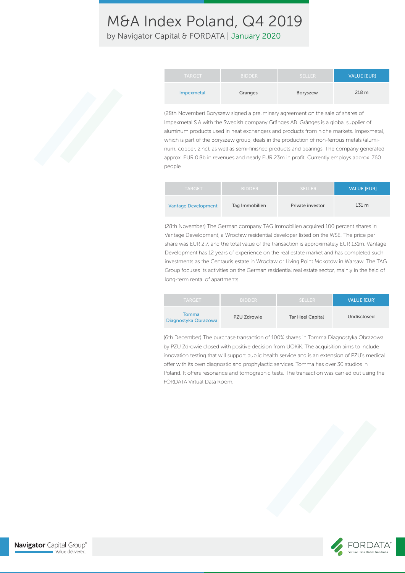by Navigator Capital & FORDATA | January 2020

| <b>TARGET</b> | <b>BIDDER</b> | <b>SELLER</b> | <b>VALUE [EUR]</b> |
|---------------|---------------|---------------|--------------------|
| Impexmetal    | Granges       | Boryszew      | 218 <sub>m</sub>   |

(28th November) Boryszew signed a preliminary agreement on the sale of shares of Impexmetal S.A with the Swedish company Gränges AB. Gränges is a global supplier of aluminum products used in heat exchangers and products from niche markets. Impexmetal, which is part of the Boryszew group, deals in the production of non-ferrous metals (aluminum, copper, zinc), as well as semi-finished products and bearings. The company generated approx. EUR 0.8b in revenues and nearly EUR 23m in profit. Currently employs approx. 760 people.

| <b>TARGET</b>              | <b>BIDDER</b>  | SELLER.          | VALUE [EUR]      |
|----------------------------|----------------|------------------|------------------|
| <b>Vantage Development</b> | Tag Immobilien | Private investor | 131 <sub>m</sub> |

(28th November) The German company TAG Immobilien acquired 100 percent shares in Vantage Development, a Wrocław residential developer listed on the WSE. The price per share was EUR 2.7, and the total value of the transaction is approximately EUR 131m. Vantage Development has 12 years of experience on the real estate market and has completed such investments as the Centauris estate in Wrocław or Living Point Mokotów in Warsaw. The TAG Group focuses its activities on the German residential real estate sector, mainly in the field of long-term rental of apartments.

| <b>TARGET</b>                 | <b>BIDDER</b> | SELLER.                 | <b>VALUE IEURI</b> |
|-------------------------------|---------------|-------------------------|--------------------|
| Tomma<br>Diagnostyka Obrazowa | PZU Zdrowie   | <b>Tar Heel Capital</b> | Undisclosed        |

(6th December) The purchase transaction of 100% shares in Tomma Diagnostyka Obrazowa by PZU Zdrowie closed with positive decision from UOKiK. The acquisition aims to include innovation testing that will support public health service and is an extension of PZU's medical offer with its own diagnostic and prophylactic services. Tomma has over 30 studios in Poland. It offers resonance and tomographic tests. The transaction was carried out using the FORDATA Virtual Data Room.

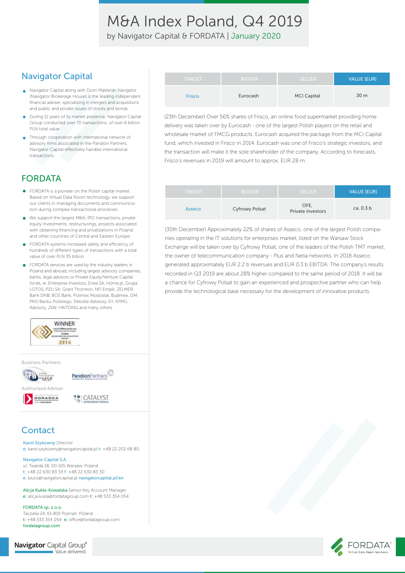by Navigator Capital & FORDATA | January 2020

### Navigator Capital

- Navigator Capital along with Dom Maklerski Navigator (Navigator Brokerage House) is the leading independent financial adviser, specializing in mergers and acquisitions and public and private issues of stocks and bonds.
- During 11 years of its market presence, Navigator Capital Group conducted over 70 transactions, of over 6 billion PLN total value.
- Through cooperation with international network of  $\bullet$ advisory firms associated in the Pandion Partners, Navigator Capital effectively handles international transactions.

## FORDATA

- FORDATA is a pioneer on the Polish capital market. Based on Virtual Data Room technology, we support our clients in managing documents and communication during complex transactional processes.
- We support the largest M&A, IPO transactions, private  $\bullet$ equity investments, restructurings, projects associated with obtaining financing and privatizations in Poland and other countries of Central and Eastern Europe.
- FORDATA systems increased safety and efficiency of hundreds of different types of transactions with a total value of over PLN 35 billion
- FORDATA services are used by the industry leaders in Poland and abroad, including largest advisory companies, banks, legal advisors or Private Equity/Venture Capital funds, ie. Enterprise Investors, Enea SA, Home pl, Grupa LOTOS, PZU SA, Grant Thornton, NFI Empik, ZELMER, Bank DNB, BOŚ Bank, Polimex Mostostal, Budimex, DM PKO Banku Polskiego, Deloitte Advisory, EY, KPMG Advisory, JSW, HAITONG and many others.



Business Partners



DORADOA **LE CATALYST** 

### **Contact**

Karol Szykowny Director

e: karol.szykowny@navigatorcapital.pl t: +48 22 202 68 80

Navigator Capital S.A. ul. Twarda 18, 00-105 Warsaw, Poland t: +48 22 630 83 33 f: +48 22 630 83 30

e: biuro@navigatorcapital.pl navigatorcapital.pl/en

Alicja Kukla-Kowalska Senior Key Account Manager e: alicja.kukla@fordatagroup.com t: +48 533 354 054

FORDATA sp. z o.o. Taczaka 24, 61-819 Poznań, Poland  $t$ : +48 533 354 054  $e$ : office@fordatagroup.com fordatagroup.com

**Navigator** Capital Group® Value delivered.

| <b>TARGET</b> | <b>BIDDER</b> | <b>SELLER</b>      | <b>VALUE [EUR]</b> |
|---------------|---------------|--------------------|--------------------|
| <b>Frisco</b> | Eurocash      | <b>MCI Capital</b> | 30 m               |

(23th December) Over 56% shares of Frisco, an online food supermarket providing home delivery was taken over by Eurocash - one of the largest Polish players on the retail and wholesale market of FMCG products. Eurocash acquired the package from the MCI Capital fund, which invested in Frisco in 2014. Eurocash was one of Frisco's strategic investors, and the transaction will make it the sole shareholder of the company. According to forecasts, Frisco's revenues in 2019 will amount to approx. EUR 28 m.

| <b>TARGET</b> | <b>BIDDER</b>         | <b>SELLER</b>             | <b>VALUE [EUR]</b> |
|---------------|-----------------------|---------------------------|--------------------|
| Asseco        | <b>Cyfrowy Polsat</b> | OFE.<br>Private investors | ca. 0.3 b          |

(30th December) Approximately 22% of shares of Asseco, one of the largest Polish companies operating in the IT solutions for enterprises market, listed on the Warsaw Stock Exchange will be taken over by Cyfrowy Polsat, one of the leaders of the Polish TMT market, the owner of telecommunication company - Plus and Netia networks. In 2018 Asseco generated approximately EUR 2.2 b revenues and EUR 0.3 b EBITDA. The company's results recorded in Q3 2019 are about 28% higher compared to the same period of 2018. It will be a chance for Cyfrowy Polsat to gain an experienced and prospective partner who can help provide the technological base necessary for the development of innovative products.

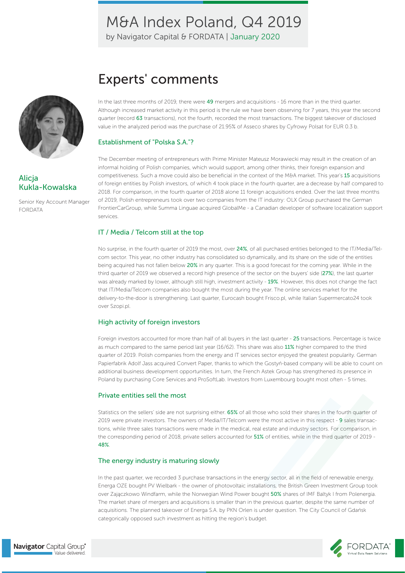by Navigator Capital & FORDATA | January 2020



### Alicja Kukla-Kowalska

Senior Key Account Manager FORDATA

# Experts' comments

In the last three months of 2019, there were 49 mergers and acquisitions - 16 more than in the third quarter. Although increased market activity in this period is the rule we have been observing for 7 years, this year the second quarter (record 63 transactions), not the fourth, recorded the most transactions. The biggest takeover of disclosed value in the analyzed period was the purchase of 21.95% of Asseco shares by Cyfrowy Polsat for EUR 0.3 b.

#### Establishment of "Polska S.A."?

The December meeting of entrepreneurs with Prime Minister Mateusz Morawiecki may result in the creation of an informal holding of Polish companies, which would support, among other thinks, their foreign expansion and competitiveness. Such a move could also be beneficial in the context of the M&A market. This year's 15 acquisitions of foreign entities by Polish investors, of which 4 took place in the fourth quarter, are a decrease by half compared to 2018. For comparison, in the fourth quarter of 2018 alone 11 foreign acquisitions ended. Over the last three months of 2019, Polish entrepreneurs took over two companies from the IT industry: OLX Group purchased the German FrontierCarGroup, while Summa Linguae acquired GlobalMe - a Canadian developer of software localization support services.

#### IT / Media / Telcom still at the top

No surprise, in the fourth quarter of 2019 the most, over 24%, of all purchased entities belonged to the IT/Media/Telcom sector. This year, no other industry has consolidated so dynamically, and its share on the side of the entities being acquired has not fallen below 20% in any quarter. This is a good forecast for the coming year. While in the third quarter of 2019 we observed a record high presence of the sector on the buyers' side (27%), the last quarter was already marked by lower, although still high, investment activity - 19%. However, this does not change the fact that IT/Media/Telcom companies also bought the most during the year. The online services market for the delivery-to-the-door is strengthening. Last quarter, Eurocash bought Frisco.pl, while Italian Supermercato24 took over Szopi.pl.

#### High activity of foreign investors

Foreign investors accounted for more than half of all buyers in the last quarter - 25 transactions. Percentage is twice as much compared to the same period last year (16/62). This share was also 11% higher compared to the third quarter of 2019. Polish companies from the energy and IT services sector enjoyed the greatest popularity. German Papierfabrik Adolf Jass acquired Convert Paper, thanks to which the Gostyń-based company will be able to count on additional business development opportunities. In turn, the French Astek Group has strengthened its presence in Poland by purchasing Core Services and ProSoftLab. Investors from Luxembourg bought most often - 5 times.

#### Private entities sell the most

Statistics on the sellers' side are not surprising either. 65% of all those who sold their shares in the fourth quarter of 2019 were private investors. The owners of Media/IT/Telcom were the most active in this respect - 9 sales transactions, while three sales transactions were made in the medical, real estate and industry sectors. For comparison, in the corresponding period of 2018, private sellers accounted for 51% of entities, while in the third quarter of 2019 - 48%.

#### The energy industry is maturing slowly

In the past quarter, we recorded 3 purchase transactions in the energy sector, all in the field of renewable energy. Energa OZE bought PV Wielbark - the owner of photovoltaic installations, the British Green Investment Group took over Zajączkowo Windfarm, while the Norwegian Wind Power bought 50% shares of IMF Baltyk I from Polenergia. The market share of mergers and acquisitions is smaller than in the previous quarter, despite the same number of acquisitions. The planned takeover of Energa S.A. by PKN Orlen is under question. The City Council of Gdańsk categorically opposed such investment as hitting the region's budget.

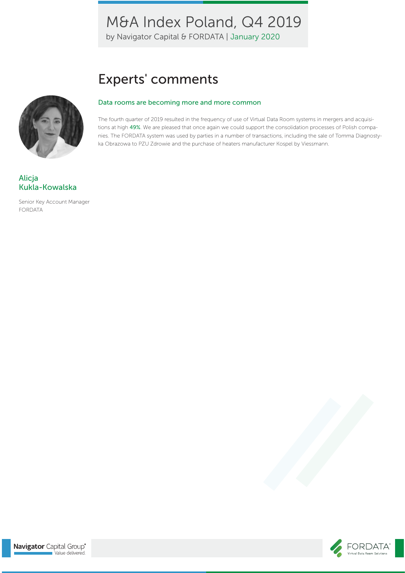by Navigator Capital & FORDATA | January 2020

# Experts' comments

#### Data rooms are becoming more and more common

The fourth quarter of 2019 resulted in the frequency of use of Virtual Data Room systems in mergers and acquisitions at high 49%. We are pleased that once again we could support the consolidation processes of Polish companies. The FORDATA system was used by parties in a number of transactions, including the sale of Tomma Diagnostyka Obrazowa to PZU Zdrowie and the purchase of heaters manufacturer Kospel by Viessmann.



Senior Key Account Manager FORDATA